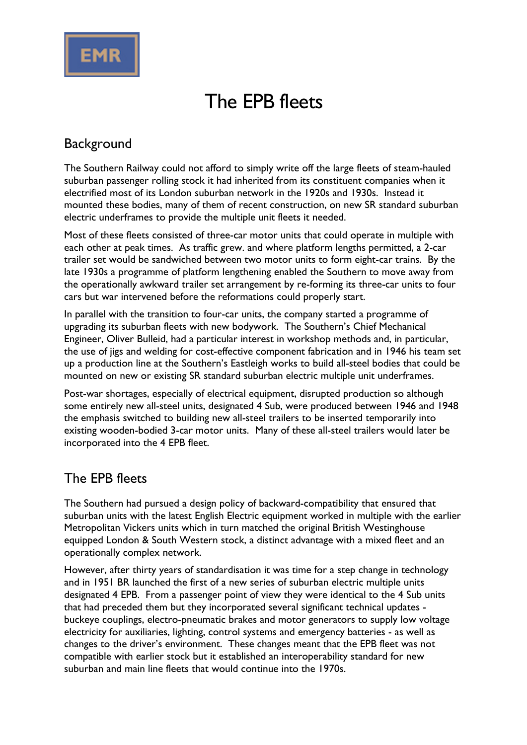

# The EPB fleets

#### **Background**

The Southern Railway could not afford to simply write off the large fleets of steam-hauled suburban passenger rolling stock it had inherited from its constituent companies when it electrified most of its London suburban network in the 1920s and 1930s. Instead it mounted these bodies, many of them of recent construction, on new SR standard suburban electric underframes to provide the multiple unit fleets it needed.

Most of these fleets consisted of three-car motor units that could operate in multiple with each other at peak times. As traffic grew. and where platform lengths permitted, a 2-car trailer set would be sandwiched between two motor units to form eight-car trains. By the late 1930s a programme of platform lengthening enabled the Southern to move away from the operationally awkward trailer set arrangement by re-forming its three-car units to four cars but war intervened before the reformations could properly start.

In parallel with the transition to four-car units, the company started a programme of upgrading its suburban fleets with new bodywork. The Southern's Chief Mechanical Engineer, Oliver Bulleid, had a particular interest in workshop methods and, in particular, the use of jigs and welding for cost-effective component fabrication and in 1946 his team set up a production line at the Southern's Eastleigh works to build all-steel bodies that could be mounted on new or existing SR standard suburban electric multiple unit underframes.

Post-war shortages, especially of electrical equipment, disrupted production so although some entirely new all-steel units, designated 4 Sub, were produced between 1946 and 1948 the emphasis switched to building new all-steel trailers to be inserted temporarily into existing wooden-bodied 3-car motor units. Many of these all-steel trailers would later be incorporated into the 4 EPB fleet.

#### The EPB fleets

The Southern had pursued a design policy of backward-compatibility that ensured that suburban units with the latest English Electric equipment worked in multiple with the earlier Metropolitan Vickers units which in turn matched the original British Westinghouse equipped London & South Western stock, a distinct advantage with a mixed fleet and an operationally complex network.

However, after thirty years of standardisation it was time for a step change in technology and in 1951 BR launched the first of a new series of suburban electric multiple units designated 4 EPB. From a passenger point of view they were identical to the 4 Sub units that had preceded them but they incorporated several significant technical updates buckeye couplings, electro-pneumatic brakes and motor generators to supply low voltage electricity for auxiliaries, lighting, control systems and emergency batteries - as well as changes to the driver's environment. These changes meant that the EPB fleet was not compatible with earlier stock but it established an interoperability standard for new suburban and main line fleets that would continue into the 1970s.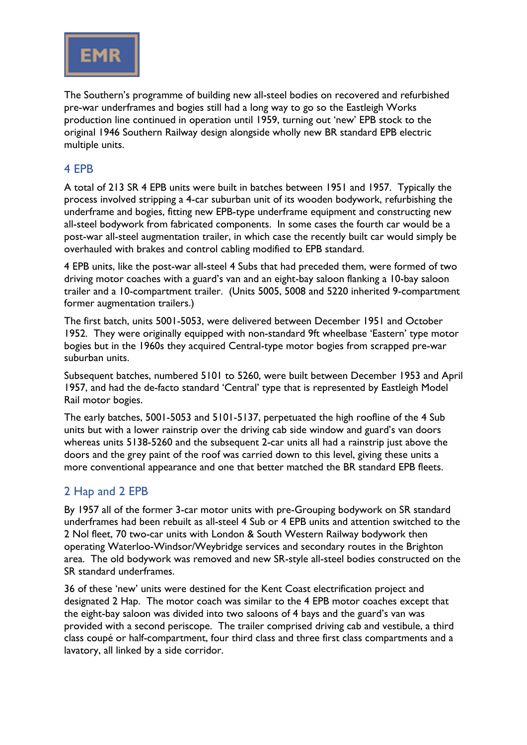

The Southern's programme of building new all-steel bodies on recovered and refurbished pre-war underframes and bogies still had a long way to go so the Eastleigh Works production line continued in operation until 1959, turning out 'new' EPB stock to the original 1946 Southern Railway design alongside wholly new BR standard EPB electric multiple units.

#### 4 EPB

A total of 213 SR 4 EPB units were built in batches between 1951 and 1957. Typically the process involved stripping a 4-car suburban unit of its wooden bodywork, refurbishing the underframe and bogies, fitting new EPB-type underframe equipment and constructing new all-steel bodywork from fabricated components. In some cases the fourth car would be a post-war all-steel augmentation trailer, in which case the recently built car would simply be overhauled with brakes and control cabling modified to EPB standard.

4 EPB units, like the post-war all-steel 4 Subs that had preceded them, were formed of two driving motor coaches with a guard's van and an eight-bay saloon flanking a 10-bay saloon trailer and a 10-compartment trailer. (Units 5005, 5008 and 5220 inherited 9-compartment former augmentation trailers.)

The first batch, units 5001-5053, were delivered between December 1951 and October 1952. They were originally equipped with non-standard 9ft wheelbase 'Eastern' type motor bogies but in the 1960s they acquired Central-type motor bogies from scrapped pre-war suburban units.

Subsequent batches, numbered 5101 to 5260, were built between December 1953 and April 1957, and had the de-facto standard 'Central' type that is represented by Eastleigh Model Rail motor bogies.

The early batches, 5001-5053 and 5101-5137, perpetuated the high roofline of the 4 Sub units but with a lower rainstrip over the driving cab side window and guard's van doors whereas units 5138-5260 and the subsequent 2-car units all had a rainstrip just above the doors and the grey paint of the roof was carried down to this level, giving these units a more conventional appearance and one that better matched the BR standard EPB fleets.

#### 2 Hap and 2 EPB

By 1957 all of the former 3-car motor units with pre-Grouping bodywork on SR standard underframes had been rebuilt as all-steel 4 Sub or 4 EPB units and attention switched to the 2 Nol fleet, 70 two-car units with London & South Western Railway bodywork then operating Waterloo-Windsor/Weybridge services and secondary routes in the Brighton area. The old bodywork was removed and new SR-style all-steel bodies constructed on the SR standard underframes.

36 of these 'new' units were destined for the Kent Coast electrification project and designated 2 Hap. The motor coach was similar to the 4 EPB motor coaches except that the eight-bay saloon was divided into two saloons of 4 bays and the guard's van was provided with a second periscope. The trailer comprised driving cab and vestibule, a third class coupé or half-compartment, four third class and three first class compartments and a lavatory, all linked by a side corridor.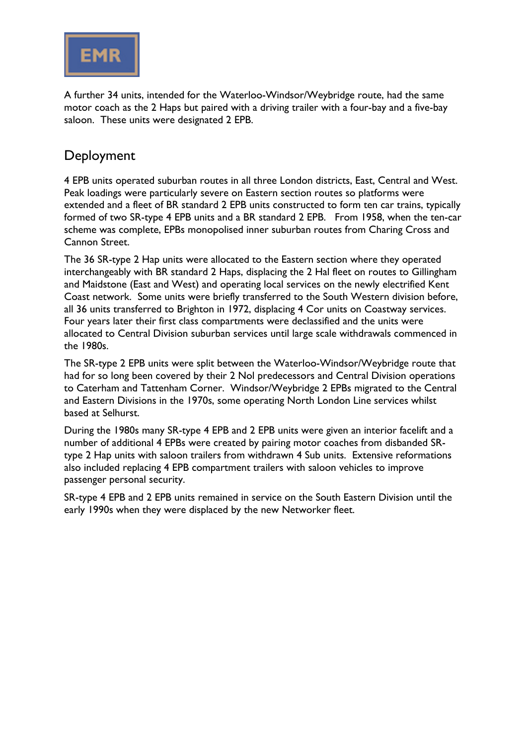

A further 34 units, intended for the Waterloo-Windsor/Weybridge route, had the same motor coach as the 2 Haps but paired with a driving trailer with a four-bay and a five-bay saloon. These units were designated 2 EPB.

#### Deployment

4 EPB units operated suburban routes in all three London districts, East, Central and West. Peak loadings were particularly severe on Eastern section routes so platforms were extended and a fleet of BR standard 2 EPB units constructed to form ten car trains, typically formed of two SR-type 4 EPB units and a BR standard 2 EPB. From 1958, when the ten-car scheme was complete, EPBs monopolised inner suburban routes from Charing Cross and Cannon Street.

The 36 SR-type 2 Hap units were allocated to the Eastern section where they operated interchangeably with BR standard 2 Haps, displacing the 2 Hal fleet on routes to Gillingham and Maidstone (East and West) and operating local services on the newly electrified Kent Coast network. Some units were briefly transferred to the South Western division before, all 36 units transferred to Brighton in 1972, displacing 4 Cor units on Coastway services. Four years later their first class compartments were declassified and the units were allocated to Central Division suburban services until large scale withdrawals commenced in the 1980s.

The SR-type 2 EPB units were split between the Waterloo-Windsor/Weybridge route that had for so long been covered by their 2 Nol predecessors and Central Division operations to Caterham and Tattenham Corner. Windsor/Weybridge 2 EPBs migrated to the Central and Eastern Divisions in the 1970s, some operating North London Line services whilst based at Selhurst.

During the 1980s many SR-type 4 EPB and 2 EPB units were given an interior facelift and a number of additional 4 EPBs were created by pairing motor coaches from disbanded SRtype 2 Hap units with saloon trailers from withdrawn 4 Sub units. Extensive reformations also included replacing 4 EPB compartment trailers with saloon vehicles to improve passenger personal security.

SR-type 4 EPB and 2 EPB units remained in service on the South Eastern Division until the early 1990s when they were displaced by the new Networker fleet.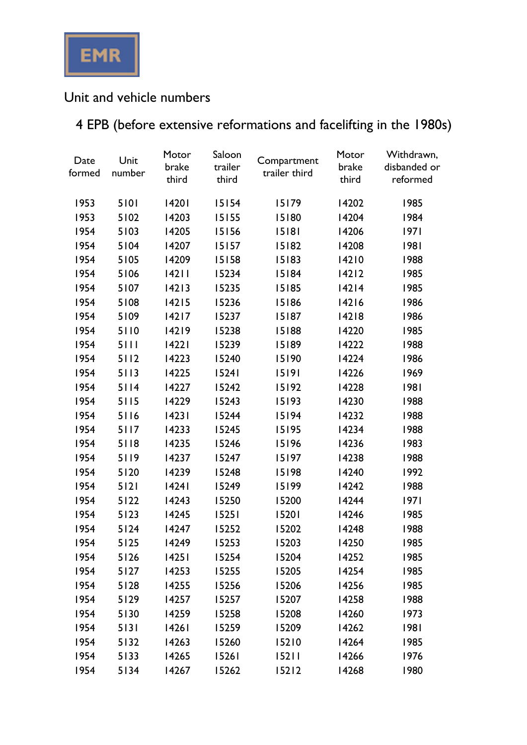

## Unit and vehicle numbers

# 4 EPB (before extensive reformations and facelifting in the 1980s)

| Date<br>formed | Unit<br>number | Motor<br>brake<br>third | Saloon<br>trailer<br>third | Compartment<br>trailer third | Motor<br>brake<br>third | Withdrawn,<br>disbanded or<br>reformed |
|----------------|----------------|-------------------------|----------------------------|------------------------------|-------------------------|----------------------------------------|
| 1953           | 5101           | 14201                   | 15154                      | 15179                        | 14202                   | 1985                                   |
| 1953           | 5102           | 14203                   | 15155                      | 15180                        | 14204                   | 1984                                   |
| 1954           | 5103           | 14205                   | 15156                      | 15181                        | 14206                   | 97                                     |
| 1954           | 5104           | 14207                   | 15157                      | 15182                        | 14208                   | 1981                                   |
| 1954           | 5105           | 14209                   | 15158                      | 15183                        | 14210                   | 1988                                   |
| 1954           | 5106           | 14211                   | 15234                      | 15184                        | $14212$                 | 1985                                   |
| 1954           | 5107           | 14213                   | 15235                      | 15185                        | 14214                   | 1985                                   |
| 1954           | 5108           | 14215                   | 15236                      | 15186                        | 14216                   | 1986                                   |
| 1954           | 5109           | $14217$                 | 15237                      | 15187                        | 14218                   | 1986                                   |
| 1954           | 5110           | 14219                   | 15238                      | 15188                        | 14220                   | 1985                                   |
| 1954           | 5111           | 14221                   | 15239                      | 15189                        | 14222                   | 1988                                   |
| 1954           | 5112           | 14223                   | 15240                      | 15190                        | 14224                   | 1986                                   |
| 1954           | 5113           | 14225                   | 15241                      | 15191                        | 14226                   | 1969                                   |
| 1954           | 5114           | 14227                   | 15242                      | 15192                        | 14228                   | 1981                                   |
| 1954           | 5115           | 14229                   | 15243                      | 15193                        | 14230                   | 1988                                   |
| 1954           | 5116           | 14231                   | 15244                      | 15194                        | 14232                   | 1988                                   |
| 1954           | 5117           | 14233                   | 15245                      | 15195                        | 14234                   | 1988                                   |
| 1954           | 5118           | 14235                   | 15246                      | 15196                        | 14236                   | 1983                                   |
| 1954           | 5119           | 14237                   | 15247                      | 15197                        | 14238                   | 1988                                   |
| 1954           | 5120           | 14239                   | 15248                      | 15198                        | 14240                   | 1992                                   |
| 1954           | $5121$         | 14241                   | 15249                      | 15199                        | 14242                   | 1988                                   |
| 1954           | 5122           | 14243                   | 15250                      | 15200                        | 14244                   | 97                                     |
| 1954           | $5123$         | 14245                   | 15251                      | 15201                        | 14246                   | 1985                                   |
| 1954           | $5124$         | 14247                   | 15252                      | 15202                        | 14248                   | 1988                                   |
| 1954           | 5125           | 14249                   | 5253                       | 15203                        | 14250                   | 1985                                   |
| 1954           | 5126           | 14251                   | 15254                      | 15204                        | 14252                   | 1985                                   |
| 1954           | $5127$         | 14253                   | 15255                      | 15205                        | 14254                   | 1985                                   |
| 1954           | 5128           | 14255                   | 15256                      | 15206                        | 14256                   | 1985                                   |
| 1954           | 5129           | 14257                   | 15257                      | 15207                        | 14258                   | 1988                                   |
| 1954           | 5130           | 14259                   | 15258                      | 15208                        | 14260                   | 1973                                   |
| 1954           | 5131           | 14261                   | 15259                      | 15209                        | 14262                   | 1981                                   |
| 1954           | 5132           | 14263                   | 15260                      | 15210                        | 14264                   | 1985                                   |
| 1954           | 5133           | 14265                   | 15261                      | 15211                        | 14266                   | 1976                                   |
| 1954           | 5134           | 14267                   | 15262                      | 15212                        | 14268                   | 1980                                   |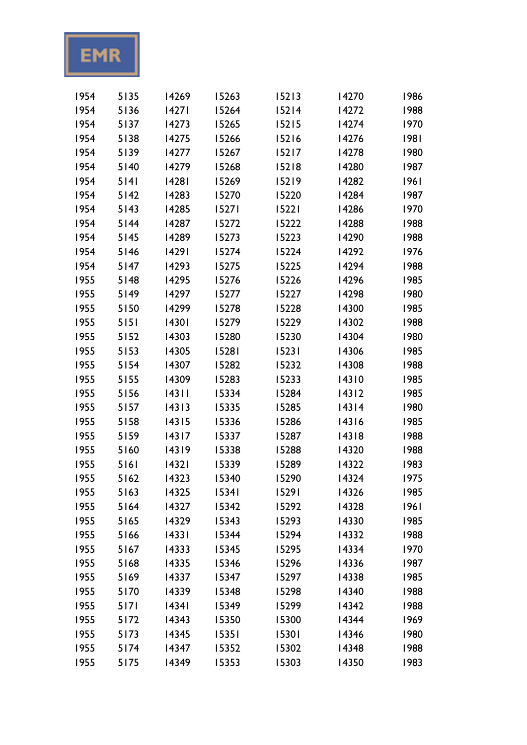EMR

| 1954 | 5135   | 14269 | 15263 | 15213   | 14270 | 1986 |
|------|--------|-------|-------|---------|-------|------|
| 1954 | 5136   | 427   | 15264 | $15214$ | 14272 | 1988 |
| 1954 | 5137   | 14273 | 15265 | 15215   | 14274 | 1970 |
| 1954 | 5138   | 14275 | 15266 | 15216   | 14276 | 1981 |
| 1954 | 5139   | 14277 | 15267 | 15217   | 14278 | 1980 |
| 1954 | $5140$ | 14279 | 15268 | 15218   | 14280 | 1987 |
| 1954 | 5141   | 14281 | 15269 | 15219   | 14282 | 1961 |
| 1954 | $5142$ | 14283 | 15270 | 15220   | 14284 | 1987 |
| 1954 | 5143   | 14285 | 15271 | 15221   | 14286 | 1970 |
| 1954 | $5144$ | 14287 | 15272 | 15222   | 14288 | 1988 |
| 1954 | $5145$ | 14289 | 15273 | 15223   | 14290 | 1988 |
| 1954 | $5146$ | 14291 | 15274 | 15224   | 14292 | 1976 |
| 1954 | $5147$ | 14293 | 15275 | 15225   | 14294 | 1988 |
| 1955 | $5148$ | 14295 | 15276 | 15226   | 14296 | 1985 |
| 1955 | 5149   | 14297 | 15277 | 15227   | 14298 | 1980 |
| 1955 | 5150   | 14299 | 15278 | 15228   | 14300 | 1985 |
| 1955 | $5151$ | 14301 | 15279 | 15229   | 14302 | 1988 |
| 1955 | 5152   | 14303 | 15280 | 15230   | 14304 | 1980 |
| 1955 | 5153   | 14305 | 15281 | 15231   | 14306 | 1985 |
| 1955 | 5154   | 14307 | 15282 | 15232   | 14308 | 1988 |
| 1955 | 5155   | 14309 | 15283 | 15233   | 14310 | 1985 |
| 1955 | 5156   | 14311 | 15334 | 15284   | 14312 | 1985 |
| 1955 | 5157   | 14313 | 15335 | 15285   | 14314 | 1980 |
| 1955 | 5158   | 14315 | 15336 | 15286   | 14316 | 1985 |
| 1955 | 5159   | 14317 | 15337 | 15287   | 14318 | 1988 |
| 1955 | 5160   | 14319 | 15338 | 15288   | 14320 | 1988 |
| 1955 | 5161   | 14321 | 15339 | 15289   | 14322 | 1983 |
| 1955 | 5162   | 14323 | 15340 | 15290   | 14324 | 1975 |
| 1955 | 5163   | 14325 | 15341 | 15291   | 14326 | 1985 |
| 1955 | 5164   | 14327 | 15342 | 15292   | 14328 | 1961 |
| 1955 | 5165   | 14329 | 15343 | 15293   | 14330 | 1985 |
| 1955 | 5166   | 14331 | 15344 | 15294   | 14332 | 1988 |
| 1955 | 5167   | 14333 | 15345 | 15295   | 14334 | 1970 |
| 1955 | 5168   | 14335 | 15346 | 15296   | 14336 | 1987 |
| 1955 | 5169   | 14337 | 15347 | 15297   | 14338 | 1985 |
| 1955 | 5170   | 14339 | 15348 | 15298   | 14340 | 1988 |
| 1955 | 5171   | 14341 | 15349 | 15299   | 14342 | 1988 |
| 1955 | 5172   | 14343 | 15350 | 15300   | 14344 | 1969 |
| 1955 | 5173   | 14345 | 15351 | 15301   | 14346 | 1980 |
| 1955 | 5174   | 14347 | 15352 | 15302   | 14348 | 1988 |
| 1955 | 5175   | 14349 | 15353 | 15303   | 14350 | 1983 |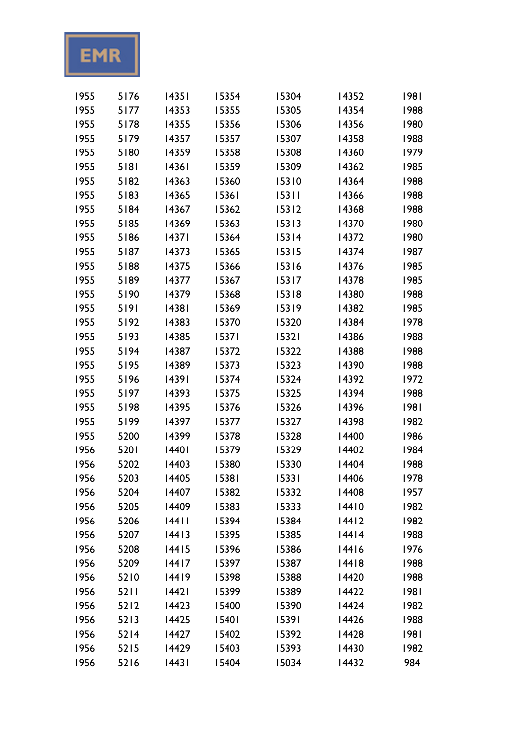

| 1955 | 5176 | 14351 | 15354 | 15304 | 14352 | 1981 |
|------|------|-------|-------|-------|-------|------|
| 1955 | 5177 | 14353 | 15355 | 15305 | 14354 | 1988 |
| 1955 | 5178 | 14355 | 15356 | 15306 | 14356 | 1980 |
| 1955 | 5179 | 14357 | 15357 | 15307 | 14358 | 1988 |
| 1955 | 5180 | 14359 | 15358 | 15308 | 14360 | 1979 |
| 1955 | 5181 | 14361 | 15359 | 15309 | 14362 | 1985 |
| 1955 | 5182 | 14363 | 15360 | 15310 | 14364 | 1988 |
| 1955 | 5183 | 14365 | 15361 | 15311 | 14366 | 1988 |
| 1955 | 5184 | 14367 | 15362 | 15312 | 14368 | 1988 |
| 1955 | 5185 | 14369 | 15363 | 15313 | 14370 | 1980 |
| 1955 | 5186 | 14371 | 15364 | 15314 | 14372 | 1980 |
| 1955 | 5187 | 14373 | 15365 | 15315 | 14374 | 1987 |
| 1955 | 5188 | 14375 | 15366 | 15316 | 14376 | 1985 |
| 1955 | 5189 | 14377 | 15367 | 15317 | 14378 | 1985 |
| 1955 | 5190 | 14379 | 15368 | 15318 | 14380 | 1988 |
| 1955 | 5191 | 14381 | 15369 | 15319 | 14382 | 1985 |
| 1955 | 5192 | 14383 | 15370 | 15320 | 14384 | 1978 |
| 1955 | 5193 | 14385 | 15371 | 15321 | 14386 | 1988 |
| 1955 | 5194 | 14387 | 15372 | 15322 | 14388 | 1988 |
| 1955 | 5195 | 14389 | 15373 | 15323 | 14390 | 1988 |
| 1955 | 5196 | 14391 | 15374 | 15324 | 14392 | 1972 |
| 1955 | 5197 | 14393 | 15375 | 15325 | 14394 | 1988 |
| 1955 | 5198 | 14395 | 15376 | 15326 | 14396 | 1981 |
| 1955 | 5199 | 14397 | 15377 | 15327 | 14398 | 1982 |
| 1955 | 5200 | 14399 | 15378 | 15328 | 14400 | 1986 |
| 1956 | 5201 | 14401 | 15379 | 15329 | 14402 | 1984 |
| 1956 | 5202 | 14403 | 15380 | 15330 | 14404 | 1988 |
| 1956 | 5203 | 14405 | 15381 | 15331 | 14406 | 1978 |
| 1956 | 5204 | 14407 | 15382 | 15332 | 14408 | 1957 |
| 1956 | 5205 | 14409 | 15383 | 15333 | 14410 | 1982 |
| 1956 | 5206 | 44    | 15394 | 15384 | 14412 | 1982 |
| 1956 | 5207 | 14413 | 15395 | 15385 | 14414 | 1988 |
| 1956 | 5208 | 14415 | 15396 | 15386 | 14416 | 1976 |
| 1956 | 5209 | 14417 | 15397 | 15387 | 14418 | 1988 |
| 1956 | 5210 | 14419 | 15398 | 15388 | 14420 | 1988 |
| 1956 | 5211 | 442   | 15399 | 15389 | 14422 | 1981 |
| 1956 | 5212 | 14423 | 15400 | 15390 | 14424 | 1982 |
| 1956 | 5213 | 14425 | 15401 | 15391 | 14426 | 1988 |
| 1956 | 5214 | 14427 | 15402 | 15392 | 14428 | 1981 |
| 1956 | 5215 | 14429 | 15403 | 15393 | 14430 | 1982 |
| 1956 | 5216 | 443   | 15404 | 15034 | 14432 | 984  |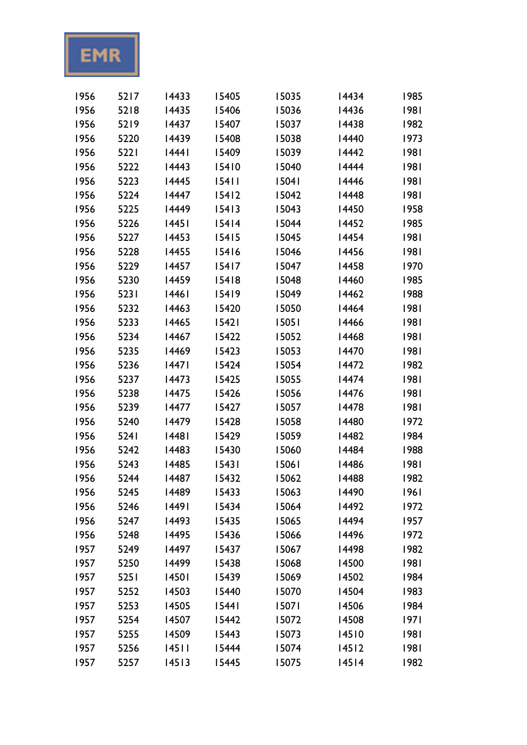

| 1956 | 5217             | 14433 | 15405   | 15035 | 14434   | 1985 |
|------|------------------|-------|---------|-------|---------|------|
| 1956 | 5218             | 14435 | 15406   | 15036 | 14436   | 1981 |
| 1956 | 5219             | 14437 | 15407   | 15037 | 14438   | 1982 |
| 1956 | 5220             | 14439 | 15408   | 15038 | 14440   | 1973 |
| 1956 | 5221             | 444   | 15409   | 15039 | 14442   | 1981 |
| 1956 | 5222             | 14443 | 15410   | 15040 | 14444   | 1981 |
| 1956 | 5223             | 14445 | 15411   | 15041 | 14446   | 1981 |
| 1956 | 5224             | 14447 | $15412$ | 15042 | 14448   | 1981 |
| 1956 | 5225             | 14449 | 15413   | 15043 | 14450   | 1958 |
| 1956 | 5226             | 14451 | $15414$ | 15044 | 14452   | 1985 |
| 1956 | 5227             | 14453 | 15415   | 15045 | 14454   | 1981 |
| 1956 | 5228             | 14455 | 15416   | 15046 | 14456   | 1981 |
| 1956 | 5229             | 14457 | $15417$ | 15047 | 14458   | 1970 |
| 1956 | 5230             | 14459 | 15418   | 15048 | 14460   | 1985 |
| 1956 | 5231             | 14461 | 15419   | 15049 | 14462   | 1988 |
| 1956 | 5232             | 14463 | 15420   | 15050 | 14464   | 1981 |
| 1956 | 5233             | 14465 | 15421   | 15051 | 14466   | 1981 |
| 1956 | 5234             | 14467 | 15422   | 15052 | 14468   | 1981 |
| 1956 | 5235             | 14469 | 15423   | 15053 | 14470   | 1981 |
| 1956 | 5236             | 447   | 15424   | 15054 | 14472   | 1982 |
| 1956 | 5237             | 14473 | 15425   | 15055 | 14474   | 1981 |
| 1956 | 5238             | 14475 | 15426   | 15056 | 14476   | 1981 |
| 1956 | 5239             | 14477 | 15427   | 15057 | 14478   | 1981 |
| 1956 | 5240             | 14479 | 15428   | 15058 | 14480   | 1972 |
| 1956 | 524 <sub>1</sub> | 448   | 15429   | 15059 | 14482   | 1984 |
| 1956 | 5242             | 14483 | 15430   | 15060 | 14484   | 1988 |
| 1956 | 5243             | 14485 | 15431   | 15061 | 14486   | 1981 |
| 1956 | 5244             | 14487 | 15432   | 15062 | 14488   | 1982 |
| 1956 | 5245             | 14489 | 15433   | 15063 | 14490   | 1961 |
| 1956 | 5246             | 14491 | 15434   | 15064 | 14492   | 1972 |
| 1956 | 5247             | 14493 | 15435   | 15065 | 14494   | 1957 |
| 1956 | 5248             | 14495 | 15436   | 15066 | 14496   | 1972 |
| 1957 | 5249             | 14497 | 15437   | 15067 | 14498   | 1982 |
| 1957 | 5250             | 14499 | 15438   | 15068 | 14500   | 1981 |
| 1957 | 5251             | 14501 | 15439   | 15069 | 14502   | 1984 |
| 1957 | 5252             | 14503 | 15440   | 15070 | 14504   | 1983 |
| 1957 | 5253             | 14505 | 15441   | 15071 | 14506   | 1984 |
| 1957 | 5254             | 14507 | 15442   | 15072 | 14508   | 97   |
| 1957 | 5255             | 14509 | 15443   | 15073 | 14510   | 1981 |
| 1957 | 5256             | 14511 | 15444   | 15074 | $14512$ | 1981 |
| 1957 | 5257             | 14513 | 15445   | 15075 | 14514   | 1982 |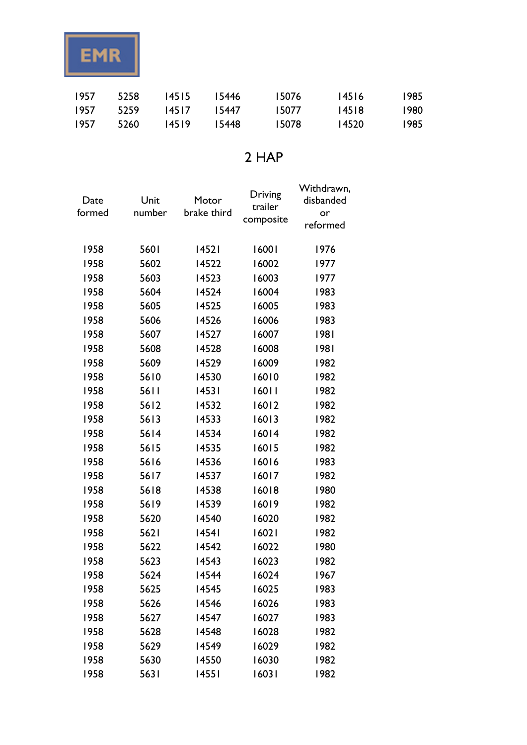

| 1957 | 5258 | 14515 | 15446 | 15076 | 14516 | 1985  |
|------|------|-------|-------|-------|-------|-------|
| 1957 | 5259 | 14517 | 15447 | 15077 | 14518 | 1980. |
| 1957 | 5260 | 14519 | 15448 | 15078 | 14520 | 1985  |

### 2 HAP

| Date   | Unit   | Motor       | Driving   | Withdrawn,<br>disbanded |
|--------|--------|-------------|-----------|-------------------------|
| formed | number | brake third | trailer   | or                      |
|        |        |             | composite | reformed                |
|        |        |             |           |                         |
| 1958   | 5601   | 14521       | 16001     | 1976                    |
| 1958   | 5602   | 14522       | 16002     | 1977                    |
| 1958   | 5603   | 14523       | 16003     | 1977                    |
| 1958   | 5604   | 14524       | 16004     | 1983                    |
| 1958   | 5605   | 14525       | 16005     | 1983                    |
| 1958   | 5606   | 14526       | 16006     | 1983                    |
| 1958   | 5607   | 14527       | 16007     | 1981                    |
| 1958   | 5608   | 14528       | 16008     | 1981                    |
| 1958   | 5609   | 14529       | 16009     | 1982                    |
| 1958   | 5610   | 14530       | 16010     | 1982                    |
| 1958   | 56 I I | 14531       | 16011     | 1982                    |
| 1958   | 5612   | 14532       | 16012     | 1982                    |
| 1958   | 5613   | 14533       | 16013     | 1982                    |
| 1958   | 5614   | 14534       | 16014     | 1982                    |
| 1958   | 5615   | 14535       | 16015     | 1982                    |
| 1958   | 5616   | 14536       | 16016     | 1983                    |
| 1958   | 5617   | 14537       | 16017     | 1982                    |
| 1958   | 5618   | 14538       | 16018     | 1980                    |
| 1958   | 5619   | 14539       | 16019     | 1982                    |
| 1958   | 5620   | 14540       | 16020     | 1982                    |
| 1958   | 5621   | 14541       | 16021     | 1982                    |
| 1958   | 5622   | 14542       | 16022     | 1980                    |
| 1958   | 5623   | 14543       | 16023     | 1982                    |
| 1958   | 5624   | 14544       | 16024     | 1967                    |
| 1958   | 5625   | 14545       | 16025     | 1983                    |
| 1958   | 5626   | 14546       | 16026     | 1983                    |
| 1958   | 5627   | 14547       | 16027     | 1983                    |
| 1958   | 5628   | 14548       | 16028     | 1982                    |
| 1958   | 5629   | 14549       | 16029     | 1982                    |
| 1958   | 5630   | 14550       | 16030     | 1982                    |
| 1958   | 5631   | 14551       | 16031     | 1982                    |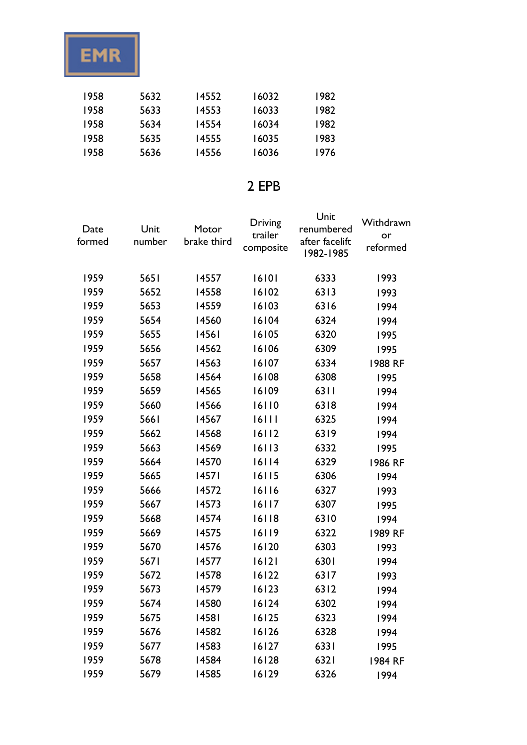

| 1958 | 5632 | 14552 | 16032 | 1982 |
|------|------|-------|-------|------|
| 1958 | 5633 | 14553 | 16033 | 1982 |
| 1958 | 5634 | 14554 | 16034 | 1982 |
| 1958 | 5635 | 14555 | 16035 | 1983 |
| 1958 | 5636 | 14556 | 16036 | 1976 |

### 2 EPB

| Date<br>formed | Unit<br>number | Motor<br>brake third | Driving<br>trailer<br>composite | Unit<br>renumbered<br>after facelift<br>1982-1985 | Withdrawn<br>or<br>reformed |
|----------------|----------------|----------------------|---------------------------------|---------------------------------------------------|-----------------------------|
| 1959           | 5651           | 14557                | 16101                           | 6333                                              | 1993                        |
| 1959           | 5652           | 14558                | 16102                           | 6313                                              | 1993                        |
| 1959           | 5653           | 14559                | 16103                           | 6316                                              | 1994                        |
| 1959           | 5654           | 14560                | 16104                           | 6324                                              | 1994                        |
| 1959           | 5655           | 14561                | 16105                           | 6320                                              | 1995                        |
| 1959           | 5656           | 14562                | 16106                           | 6309                                              | 1995                        |
| 1959           | 5657           | 14563                | 16107                           | 6334                                              | 1988 RF                     |
| 1959           | 5658           | 14564                | 16108                           | 6308                                              | 1995                        |
| 1959           | 5659           | 14565                | 16109                           | 6311                                              | 1994                        |
| 1959           | 5660           | 14566                | 16110                           | 6318                                              | 1994                        |
| 1959           | 5661           | 14567                | 16111                           | 6325                                              | 1994                        |
| 1959           | 5662           | 14568                | 16112                           | 6319                                              | 1994                        |
| 1959           | 5663           | 14569                | 16113                           | 6332                                              | 1995                        |
| 1959           | 5664           | 14570                | 16114                           | 6329                                              | 1986 RF                     |
| 1959           | 5665           | 14571                | 16115                           | 6306                                              | 1994                        |
| 1959           | 5666           | 14572                | 16116                           | 6327                                              | 1993                        |
| 1959           | 5667           | 14573                | 16117                           | 6307                                              | 1995                        |
| 1959           | 5668           | 14574                | 16118                           | 6310                                              | 1994                        |
| 1959           | 5669           | 14575                | 16119                           | 6322                                              | 1989 RF                     |
| 1959           | 5670           | 14576                | 16120                           | 6303                                              | 1993                        |
| 1959           | 5671           | 14577                | 16121                           | 6301                                              | 1994                        |
| 1959           | 5672           | 14578                | 16122                           | 6317                                              | 1993                        |
| 1959           | 5673           | 14579                | 16123                           | 6312                                              | 1994                        |
| 1959           | 5674           | 14580                | 16124                           | 6302                                              | 1994                        |
| 1959           | 5675           | 14581                | 16125                           | 6323                                              | 1994                        |
| 1959           | 5676           | 14582                | 16126                           | 6328                                              | 1994                        |
| 1959           | 5677           | 14583                | 16127                           | 6331                                              | 1995                        |
| 1959           | 5678           | 14584                | 16128                           | 6321                                              | 1984 RF                     |
| 1959           | 5679           | 14585                | 16129                           | 6326                                              | 1994                        |